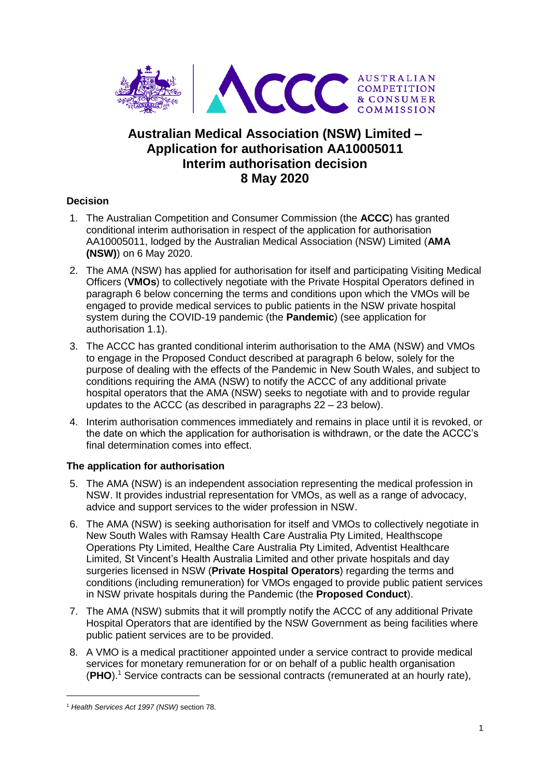

# **Australian Medical Association (NSW) Limited – Application for authorisation AA10005011 Interim authorisation decision 8 May 2020**

# **Decision**

- 1. The Australian Competition and Consumer Commission (the **ACCC**) has granted conditional interim authorisation in respect of the application for authorisation AA10005011, lodged by the Australian Medical Association (NSW) Limited (**AMA (NSW)**) on 6 May 2020.
- 2. The AMA (NSW) has applied for authorisation for itself and participating Visiting Medical Officers (**VMOs**) to collectively negotiate with the Private Hospital Operators defined in paragraph 6 below concerning the terms and conditions upon which the VMOs will be engaged to provide medical services to public patients in the NSW private hospital system during the COVID-19 pandemic (the **Pandemic**) (see application for authorisation 1.1).
- 3. The ACCC has granted conditional interim authorisation to the AMA (NSW) and VMOs to engage in the Proposed Conduct described at paragraph 6 below, solely for the purpose of dealing with the effects of the Pandemic in New South Wales, and subject to conditions requiring the AMA (NSW) to notify the ACCC of any additional private hospital operators that the AMA (NSW) seeks to negotiate with and to provide regular updates to the ACCC (as described in paragraphs 22 – 23 below).
- 4. Interim authorisation commences immediately and remains in place until it is revoked, or the date on which the application for authorisation is withdrawn, or the date the ACCC's final determination comes into effect.

# **The application for authorisation**

- 5. The AMA (NSW) is an independent association representing the medical profession in NSW. It provides industrial representation for VMOs, as well as a range of advocacy, advice and support services to the wider profession in NSW.
- 6. The AMA (NSW) is seeking authorisation for itself and VMOs to collectively negotiate in New South Wales with Ramsay Health Care Australia Pty Limited, Healthscope Operations Pty Limited, Healthe Care Australia Pty Limited, Adventist Healthcare Limited, St Vincent's Health Australia Limited and other private hospitals and day surgeries licensed in NSW (**Private Hospital Operators**) regarding the terms and conditions (including remuneration) for VMOs engaged to provide public patient services in NSW private hospitals during the Pandemic (the **Proposed Conduct**).
- 7. The AMA (NSW) submits that it will promptly notify the ACCC of any additional Private Hospital Operators that are identified by the NSW Government as being facilities where public patient services are to be provided.
- 8. A VMO is a medical practitioner appointed under a service contract to provide medical services for monetary remuneration for or on behalf of a public health organisation (**PHO**). <sup>1</sup> Service contracts can be sessional contracts (remunerated at an hourly rate),

-

<sup>1</sup> *Health Services Act 1997 (NSW)* section 78.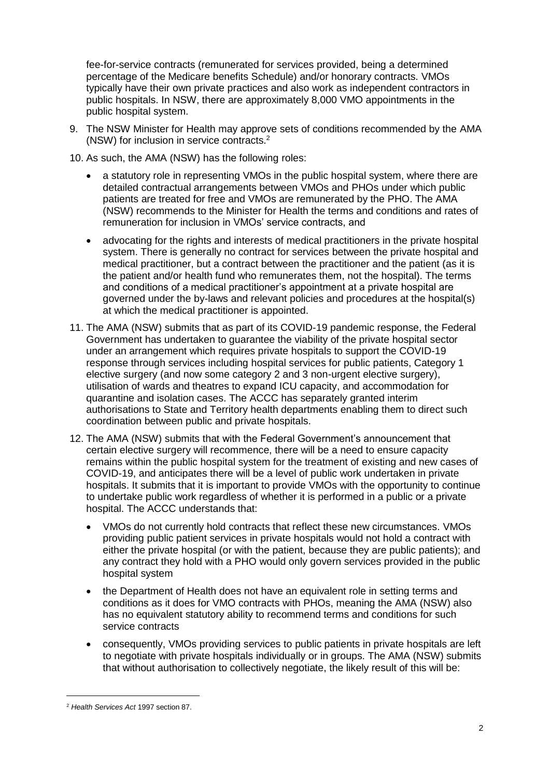fee-for-service contracts (remunerated for services provided, being a determined percentage of the Medicare benefits Schedule) and/or honorary contracts. VMOs typically have their own private practices and also work as independent contractors in public hospitals. In NSW, there are approximately 8,000 VMO appointments in the public hospital system.

- 9. The NSW Minister for Health may approve sets of conditions recommended by the AMA (NSW) for inclusion in service contracts. 2
- 10. As such, the AMA (NSW) has the following roles:
	- a statutory role in representing VMOs in the public hospital system, where there are detailed contractual arrangements between VMOs and PHOs under which public patients are treated for free and VMOs are remunerated by the PHO. The AMA (NSW) recommends to the Minister for Health the terms and conditions and rates of remuneration for inclusion in VMOs' service contracts, and
	- advocating for the rights and interests of medical practitioners in the private hospital system. There is generally no contract for services between the private hospital and medical practitioner, but a contract between the practitioner and the patient (as it is the patient and/or health fund who remunerates them, not the hospital). The terms and conditions of a medical practitioner's appointment at a private hospital are governed under the by-laws and relevant policies and procedures at the hospital(s) at which the medical practitioner is appointed.
- 11. The AMA (NSW) submits that as part of its COVID-19 pandemic response, the Federal Government has undertaken to guarantee the viability of the private hospital sector under an arrangement which requires private hospitals to support the COVID-19 response through services including hospital services for public patients, Category 1 elective surgery (and now some category 2 and 3 non-urgent elective surgery), utilisation of wards and theatres to expand ICU capacity, and accommodation for quarantine and isolation cases. The ACCC has separately granted interim authorisations to State and Territory health departments enabling them to direct such coordination between public and private hospitals.
- 12. The AMA (NSW) submits that with the Federal Government's announcement that certain elective surgery will recommence, there will be a need to ensure capacity remains within the public hospital system for the treatment of existing and new cases of COVID-19, and anticipates there will be a level of public work undertaken in private hospitals. It submits that it is important to provide VMOs with the opportunity to continue to undertake public work regardless of whether it is performed in a public or a private hospital. The ACCC understands that:
	- VMOs do not currently hold contracts that reflect these new circumstances. VMOs providing public patient services in private hospitals would not hold a contract with either the private hospital (or with the patient, because they are public patients); and any contract they hold with a PHO would only govern services provided in the public hospital system
	- the Department of Health does not have an equivalent role in setting terms and conditions as it does for VMO contracts with PHOs, meaning the AMA (NSW) also has no equivalent statutory ability to recommend terms and conditions for such service contracts
	- consequently, VMOs providing services to public patients in private hospitals are left to negotiate with private hospitals individually or in groups. The AMA (NSW) submits that without authorisation to collectively negotiate, the likely result of this will be:

-

<sup>2</sup> *Health Services Act* 1997 section 87.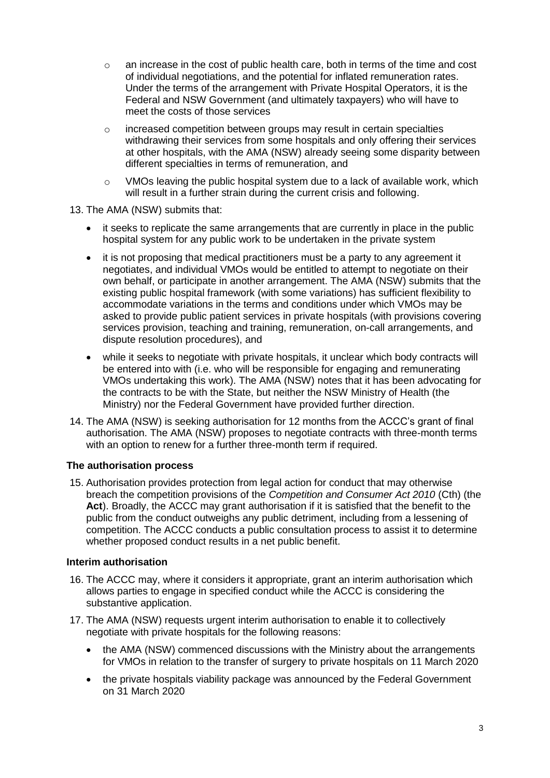- $\circ$  an increase in the cost of public health care, both in terms of the time and cost of individual negotiations, and the potential for inflated remuneration rates. Under the terms of the arrangement with Private Hospital Operators, it is the Federal and NSW Government (and ultimately taxpayers) who will have to meet the costs of those services
- o increased competition between groups may result in certain specialties withdrawing their services from some hospitals and only offering their services at other hospitals, with the AMA (NSW) already seeing some disparity between different specialties in terms of remuneration, and
- $\circ$  VMOs leaving the public hospital system due to a lack of available work, which will result in a further strain during the current crisis and following.

### 13. The AMA (NSW) submits that:

- it seeks to replicate the same arrangements that are currently in place in the public hospital system for any public work to be undertaken in the private system
- it is not proposing that medical practitioners must be a party to any agreement it negotiates, and individual VMOs would be entitled to attempt to negotiate on their own behalf, or participate in another arrangement. The AMA (NSW) submits that the existing public hospital framework (with some variations) has sufficient flexibility to accommodate variations in the terms and conditions under which VMOs may be asked to provide public patient services in private hospitals (with provisions covering services provision, teaching and training, remuneration, on-call arrangements, and dispute resolution procedures), and
- while it seeks to negotiate with private hospitals, it unclear which body contracts will be entered into with (i.e. who will be responsible for engaging and remunerating VMOs undertaking this work). The AMA (NSW) notes that it has been advocating for the contracts to be with the State, but neither the NSW Ministry of Health (the Ministry) nor the Federal Government have provided further direction.
- 14. The AMA (NSW) is seeking authorisation for 12 months from the ACCC's grant of final authorisation. The AMA (NSW) proposes to negotiate contracts with three-month terms with an option to renew for a further three-month term if required.

### **The authorisation process**

15. Authorisation provides protection from legal action for conduct that may otherwise breach the competition provisions of the *Competition and Consumer Act 2010* (Cth) (the **Act**). Broadly, the ACCC may grant authorisation if it is satisfied that the benefit to the public from the conduct outweighs any public detriment, including from a lessening of competition. The ACCC conducts a public consultation process to assist it to determine whether proposed conduct results in a net public benefit.

### **Interim authorisation**

- 16. The ACCC may, where it considers it appropriate, grant an interim authorisation which allows parties to engage in specified conduct while the ACCC is considering the substantive application.
- 17. The AMA (NSW) requests urgent interim authorisation to enable it to collectively negotiate with private hospitals for the following reasons:
	- the AMA (NSW) commenced discussions with the Ministry about the arrangements for VMOs in relation to the transfer of surgery to private hospitals on 11 March 2020
	- the private hospitals viability package was announced by the Federal Government on 31 March 2020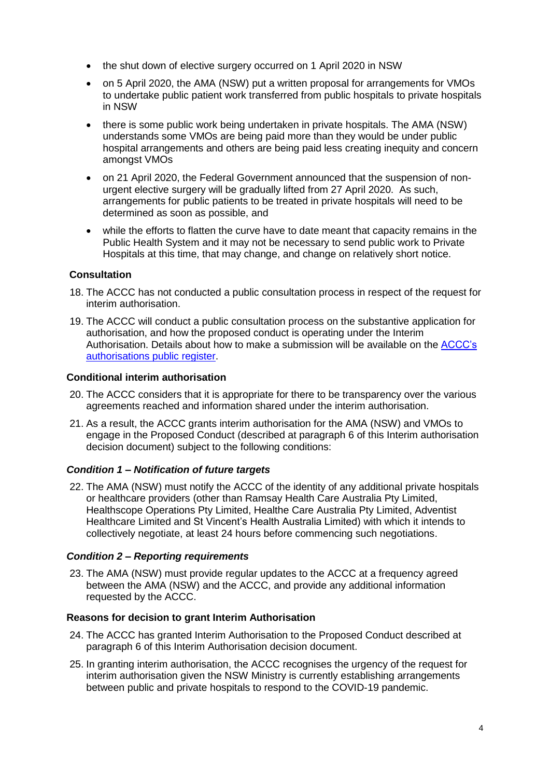- the shut down of elective surgery occurred on 1 April 2020 in NSW
- on 5 April 2020, the AMA (NSW) put a written proposal for arrangements for VMOs to undertake public patient work transferred from public hospitals to private hospitals in NSW
- there is some public work being undertaken in private hospitals. The AMA (NSW) understands some VMOs are being paid more than they would be under public hospital arrangements and others are being paid less creating inequity and concern amongst VMOs
- on 21 April 2020, the Federal Government announced that the suspension of nonurgent elective surgery will be gradually lifted from 27 April 2020. As such, arrangements for public patients to be treated in private hospitals will need to be determined as soon as possible, and
- while the efforts to flatten the curve have to date meant that capacity remains in the Public Health System and it may not be necessary to send public work to Private Hospitals at this time, that may change, and change on relatively short notice.

# **Consultation**

- 18. The ACCC has not conducted a public consultation process in respect of the request for interim authorisation.
- 19. The ACCC will conduct a public consultation process on the substantive application for authorisation, and how the proposed conduct is operating under the Interim Authorisation. Details about how to make a submission will be available on the [ACCC's](https://www.accc.gov.au/public-registers/authorisations-and-notifications-registers/authorisations-register/amansw-%E2%80%93-vmo-collective-bargaining-in-response-to-covid-19)  [authorisations public register.](https://www.accc.gov.au/public-registers/authorisations-and-notifications-registers/authorisations-register/amansw-%E2%80%93-vmo-collective-bargaining-in-response-to-covid-19)

## **Conditional interim authorisation**

- 20. The ACCC considers that it is appropriate for there to be transparency over the various agreements reached and information shared under the interim authorisation.
- 21. As a result, the ACCC grants interim authorisation for the AMA (NSW) and VMOs to engage in the Proposed Conduct (described at paragraph 6 of this Interim authorisation decision document) subject to the following conditions:

### *Condition 1 – Notification of future targets*

22. The AMA (NSW) must notify the ACCC of the identity of any additional private hospitals or healthcare providers (other than Ramsay Health Care Australia Pty Limited, Healthscope Operations Pty Limited, Healthe Care Australia Pty Limited, Adventist Healthcare Limited and St Vincent's Health Australia Limited) with which it intends to collectively negotiate, at least 24 hours before commencing such negotiations.

# *Condition 2 – Reporting requirements*

23. The AMA (NSW) must provide regular updates to the ACCC at a frequency agreed between the AMA (NSW) and the ACCC, and provide any additional information requested by the ACCC.

### **Reasons for decision to grant Interim Authorisation**

- 24. The ACCC has granted Interim Authorisation to the Proposed Conduct described at paragraph 6 of this Interim Authorisation decision document.
- 25. In granting interim authorisation, the ACCC recognises the urgency of the request for interim authorisation given the NSW Ministry is currently establishing arrangements between public and private hospitals to respond to the COVID-19 pandemic.